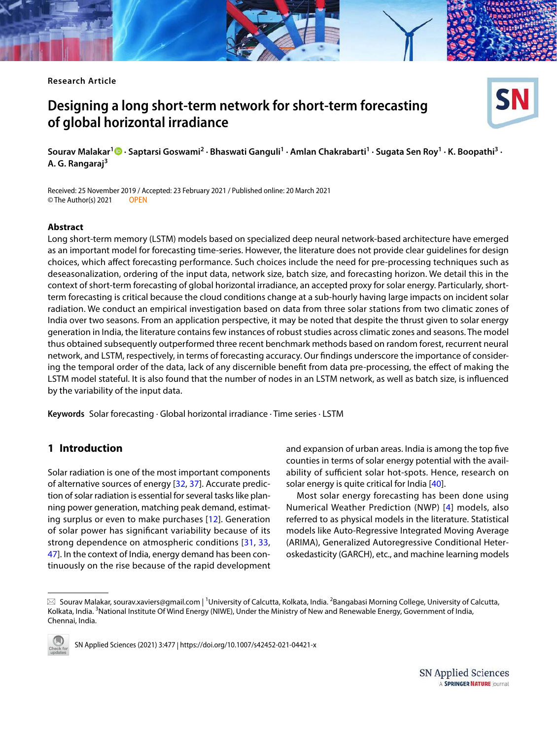**Research Article**

# **Designing a long short‑term network for short‑term forecasting of global horizontal irradiance**



Received: 25 November 2019 / Accepted: 23 February 2021 / Published online: 20 March 2021<br>
© The Author(s) 2021 **COPEN** © The Author(s) 2021

#### **Abstract**

Long short-term memory (LSTM) models based on specialized deep neural network-based architecture have emerged as an important model for forecasting time-series. However, the literature does not provide clear guidelines for design choices, which affect forecasting performance. Such choices include the need for pre-processing techniques such as deseasonalization, ordering of the input data, network size, batch size, and forecasting horizon. We detail this in the context of short-term forecasting of global horizontal irradiance, an accepted proxy for solar energy. Particularly, shortterm forecasting is critical because the cloud conditions change at a sub-hourly having large impacts on incident solar radiation. We conduct an empirical investigation based on data from three solar stations from two climatic zones of India over two seasons. From an application perspective, it may be noted that despite the thrust given to solar energy generation in India, the literature contains few instances of robust studies across climatic zones and seasons. The model thus obtained subsequently outperformed three recent benchmark methods based on random forest, recurrent neural network, and LSTM, respectively, in terms of forecasting accuracy. Our findings underscore the importance of considering the temporal order of the data, lack of any discernible benefit from data pre-processing, the effect of making the LSTM model stateful. It is also found that the number of nodes in an LSTM network, as well as batch size, is influenced by the variability of the input data.

**Keywords** Solar forecasting · Global horizontal irradiance · Time series · LSTM

## **1 Introduction**

Solar radiation is one of the most important components of alternative sources of energy [[32](#page-13-0), [37](#page-14-0)]. Accurate prediction of solar radiation is essential for several tasks like planning power generation, matching peak demand, estimating surplus or even to make purchases [[12](#page-13-1)]. Generation of solar power has significant variability because of its strong dependence on atmospheric conditions [[31,](#page-13-2) [33](#page-13-3), [47](#page-14-1)]. In the context of India, energy demand has been continuously on the rise because of the rapid development and expansion of urban areas. India is among the top five counties in terms of solar energy potential with the availability of sufficient solar hot-spots. Hence, research on solar energy is quite critical for India [[40\]](#page-14-2).

Most solar energy forecasting has been done using Numerical Weather Prediction (NWP) [[4](#page-13-4)] models, also referred to as physical models in the literature. Statistical models like Auto-Regressive Integrated Moving Average (ARIMA), Generalized Autoregressive Conditional Heteroskedasticity (GARCH), etc., and machine learning models

 $\boxtimes$  Sourav Malakar, sourav.xaviers@gmail.com | <sup>1</sup>University of Calcutta, Kolkata, India. <sup>2</sup>Bangabasi Morning College, University of Calcutta, Kolkata, India. <sup>3</sup>National Institute Of Wind Energy (NIWE), Under the Ministry of New and Renewable Energy, Government of India, Chennai, India.



SN Applied Sciences (2021) 3:477 | https://doi.org/10.1007/s42452-021-04421-x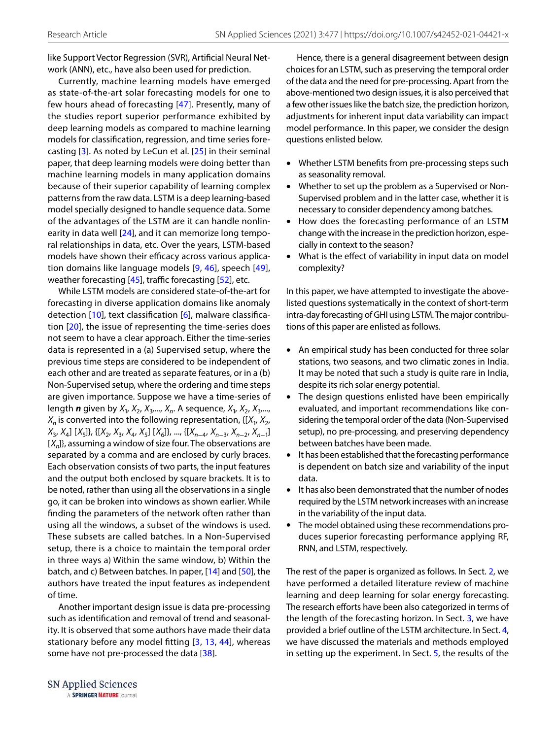like Support Vector Regression (SVR), Artificial Neural Network (ANN), etc., have also been used for prediction.

Currently, machine learning models have emerged as state-of-the-art solar forecasting models for one to few hours ahead of forecasting [\[47\]](#page-14-1). Presently, many of the studies report superior performance exhibited by deep learning models as compared to machine learning models for classification, regression, and time series forecasting [[3](#page-13-5)]. As noted by LeCun et al. [[25](#page-13-6)] in their seminal paper, that deep learning models were doing better than machine learning models in many application domains because of their superior capability of learning complex patterns from the raw data. LSTM is a deep learning-based model specially designed to handle sequence data. Some of the advantages of the LSTM are it can handle nonlinearity in data well [[24\]](#page-13-7), and it can memorize long temporal relationships in data, etc. Over the years, LSTM-based models have shown their efficacy across various application domains like language models [[9](#page-13-8), [46](#page-14-3)], speech [[49](#page-14-4)], weather forecasting [\[45\]](#page-14-5), traffic forecasting [[52](#page-14-6)], etc.

While LSTM models are considered state-of-the-art for forecasting in diverse application domains like anomaly detection [[10\]](#page-13-9), text classification [[6](#page-13-10)], malware classification [[20](#page-13-11)], the issue of representing the time-series does not seem to have a clear approach. Either the time-series data is represented in a (a) Supervised setup, where the previous time steps are considered to be independent of each other and are treated as separate features, or in a (b) Non-Supervised setup, where the ordering and time steps are given importance. Suppose we have a time-series of length **n** given by  $X_1, X_2, X_3, ..., X_n$ . A sequence,  $X_1, X_2, X_3, ...,$  $X_n$  is converted into the following representation, { $[X_1, X_2, \dots]$  $X_3, X_4$ ] [ $X_5$ ]}, {[ $X_2, X_3, X_4, X_5$ ] [ $X_6$ ]}, ..., {[ $X_{n-4}, X_{n-3}, X_{n-2}, X_{n-1}$ ]  $[X_n]$ , assuming a window of size four. The observations are separated by a comma and are enclosed by curly braces. Each observation consists of two parts, the input features and the output both enclosed by square brackets. It is to be noted, rather than using all the observations in a single go, it can be broken into windows as shown earlier. While finding the parameters of the network often rather than using all the windows, a subset of the windows is used. These subsets are called batches. In a Non-Supervised setup, there is a choice to maintain the temporal order in three ways a) Within the same window, b) Within the batch, and c) Between batches. In paper, [\[14\]](#page-13-12) and [\[50](#page-14-7)], the authors have treated the input features as independent of time.

Another important design issue is data pre-processing such as identification and removal of trend and seasonality. It is observed that some authors have made their data stationary before any model fitting [[3](#page-13-5), [13,](#page-13-13) [44](#page-14-8)], whereas some have not pre-processed the data [[38](#page-14-9)].

Hence, there is a general disagreement between design choices for an LSTM, such as preserving the temporal order of the data and the need for pre-processing. Apart from the above-mentioned two design issues, it is also perceived that a few other issues like the batch size, the prediction horizon, adjustments for inherent input data variability can impact model performance. In this paper, we consider the design questions enlisted below.

- Whether LSTM benefits from pre-processing steps such as seasonality removal.
- Whether to set up the problem as a Supervised or Non-Supervised problem and in the latter case, whether it is necessary to consider dependency among batches.
- How does the forecasting performance of an LSTM change with the increase in the prediction horizon, especially in context to the season?
- What is the effect of variability in input data on model complexity?

In this paper, we have attempted to investigate the abovelisted questions systematically in the context of short-term intra-day forecasting of GHI using LSTM. The major contributions of this paper are enlisted as follows.

- An empirical study has been conducted for three solar stations, two seasons, and two climatic zones in India. It may be noted that such a study is quite rare in India, despite its rich solar energy potential.
- The design questions enlisted have been empirically evaluated, and important recommendations like considering the temporal order of the data (Non-Supervised setup), no pre-processing, and preserving dependency between batches have been made.
- It has been established that the forecasting performance is dependent on batch size and variability of the input data.
- It has also been demonstrated that the number of nodes required by the LSTM network increases with an increase in the variability of the input data.
- The model obtained using these recommendations produces superior forecasting performance applying RF, RNN, and LSTM, respectively.

The rest of the paper is organized as follows. In Sect. [2,](#page-2-0) we have performed a detailed literature review of machine learning and deep learning for solar energy forecasting. The research efforts have been also categorized in terms of the length of the forecasting horizon. In Sect. [3,](#page-3-0) we have provided a brief outline of the LSTM architecture. In Sect. [4](#page-4-0), we have discussed the materials and methods employed in setting up the experiment. In Sect. [5,](#page-7-0) the results of the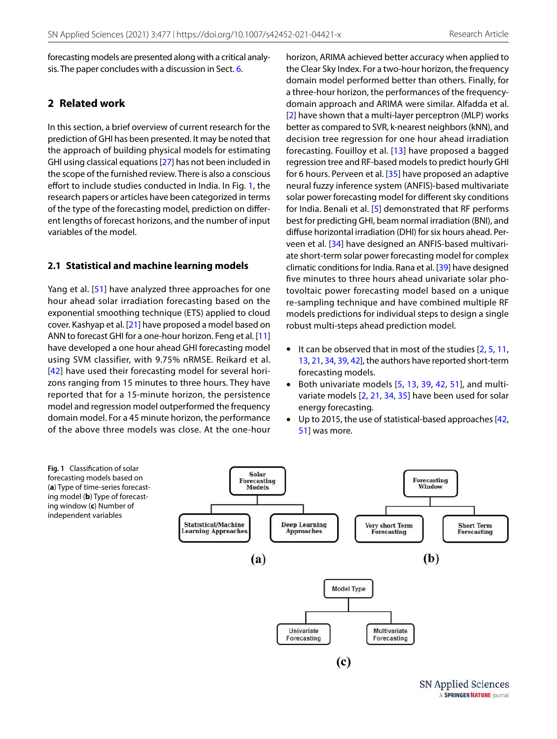forecasting models are presented along with a critical analysis. The paper concludes with a discussion in Sect. [6.](#page-12-0)

## <span id="page-2-0"></span>**2 Related work**

In this section, a brief overview of current research for the prediction of GHI has been presented. It may be noted that the approach of building physical models for estimating GHI using classical equations [\[27\]](#page-13-14) has not been included in the scope of the furnished review. There is also a conscious effort to include studies conducted in India. In Fig. [1,](#page-2-1) the research papers or articles have been categorized in terms of the type of the forecasting model, prediction on different lengths of forecast horizons, and the number of input variables of the model.

#### **2.1 Statistical and machine learning models**

Yang et al. [[51](#page-14-10)] have analyzed three approaches for one hour ahead solar irradiation forecasting based on the exponential smoothing technique (ETS) applied to cloud cover. Kashyap et al. [[21\]](#page-13-15) have proposed a model based on ANN to forecast GHI for a one-hour horizon. Feng et al. [\[11](#page-13-16)] have developed a one hour ahead GHI forecasting model using SVM classifier, with 9.75% nRMSE. Reikard et al. [[42\]](#page-14-11) have used their forecasting model for several horizons ranging from 15 minutes to three hours. They have reported that for a 15-minute horizon, the persistence model and regression model outperformed the frequency domain model. For a 45 minute horizon, the performance of the above three models was close. At the one-hour horizon, ARIMA achieved better accuracy when applied to the Clear Sky Index. For a two-hour horizon, the frequency domain model performed better than others. Finally, for a three-hour horizon, the performances of the frequencydomain approach and ARIMA were similar. Alfadda et al. [[2](#page-13-17)] have shown that a multi-layer perceptron (MLP) works better as compared to SVR, k-nearest neighbors (kNN), and decision tree regression for one hour ahead irradiation forecasting. Fouilloy et al. [[13\]](#page-13-13) have proposed a bagged regression tree and RF-based models to predict hourly GHI for 6 hours. Perveen et al. [\[35\]](#page-13-18) have proposed an adaptive neural fuzzy inference system (ANFIS)-based multivariate solar power forecasting model for different sky conditions for India. Benali et al. [\[5](#page-13-19)] demonstrated that RF performs best for predicting GHI, beam normal irradiation (BNI), and diffuse horizontal irradiation (DHI) for six hours ahead. Perveen et al. [[34\]](#page-13-20) have designed an ANFIS-based multivariate short-term solar power forecasting model for complex climatic conditions for India. Rana et al. [\[39\]](#page-14-12) have designed five minutes to three hours ahead univariate solar photovoltaic power forecasting model based on a unique re-sampling technique and have combined multiple RF models predictions for individual steps to design a single robust multi-steps ahead prediction model.

- It can be observed that in most of the studies  $[2, 5, 11, 1]$  $[2, 5, 11, 1]$  $[2, 5, 11, 1]$  $[2, 5, 11, 1]$  $[2, 5, 11, 1]$  $[2, 5, 11, 1]$  $[2, 5, 11, 1]$ [13](#page-13-13), [21](#page-13-15), [34](#page-13-20), [39](#page-14-12), [42](#page-14-11)], the authors have reported short-term forecasting models.
- Both univariate models [\[5](#page-13-19), [13,](#page-13-13) [39](#page-14-12), [42](#page-14-11), [51\]](#page-14-10), and multivariate models [[2,](#page-13-17) [21](#page-13-15), [34](#page-13-20), [35](#page-13-18)] have been used for solar energy forecasting.
- Up to 2015, the use of statistical-based approaches [[42](#page-14-11), [51\]](#page-14-10) was more.

<span id="page-2-1"></span>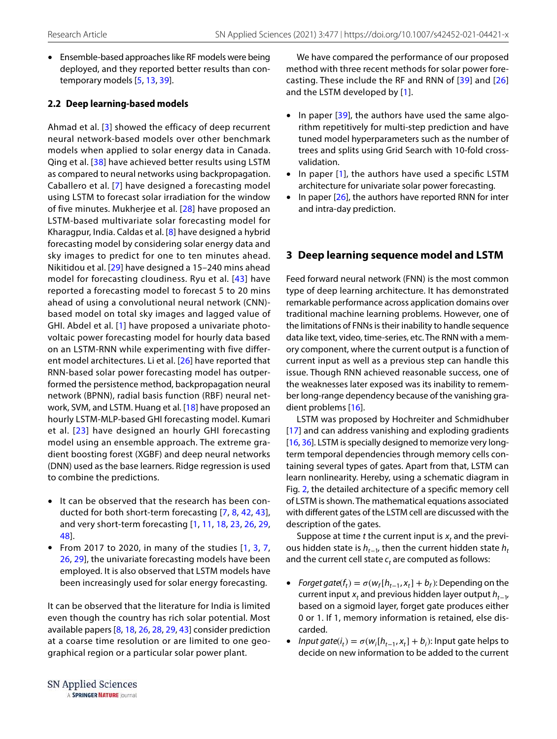• Ensemble-based approaches like RF models were being deployed, and they reported better results than contemporary models [[5,](#page-13-19) [13](#page-13-13), [39\]](#page-14-12).

## **2.2 Deep learning‑based models**

Ahmad et al. [[3](#page-13-5)] showed the efficacy of deep recurrent neural network-based models over other benchmark models when applied to solar energy data in Canada. Qing et al. [[38\]](#page-14-9) have achieved better results using LSTM as compared to neural networks using backpropagation. Caballero et al. [[7](#page-13-21)] have designed a forecasting model using LSTM to forecast solar irradiation for the window of five minutes. Mukherjee et al. [\[28\]](#page-13-22) have proposed an LSTM-based multivariate solar forecasting model for Kharagpur, India. Caldas et al. [\[8](#page-13-23)] have designed a hybrid forecasting model by considering solar energy data and sky images to predict for one to ten minutes ahead. Nikitidou et al. [[29](#page-13-24)] have designed a 15–240 mins ahead model for forecasting cloudiness. Ryu et al. [[43](#page-14-13)] have reported a forecasting model to forecast 5 to 20 mins ahead of using a convolutional neural network (CNN) based model on total sky images and lagged value of GHI. Abdel et al. [[1](#page-12-1)] have proposed a univariate photovoltaic power forecasting model for hourly data based on an LSTM-RNN while experimenting with five different model architectures. Li et al. [[26\]](#page-13-25) have reported that RNN-based solar power forecasting model has outperformed the persistence method, backpropagation neural network (BPNN), radial basis function (RBF) neural network, SVM, and LSTM. Huang et al. [[18](#page-13-26)] have proposed an hourly LSTM-MLP-based GHI forecasting model. Kumari et al. [[23](#page-13-27)] have designed an hourly GHI forecasting model using an ensemble approach. The extreme gradient boosting forest (XGBF) and deep neural networks (DNN) used as the base learners. Ridge regression is used to combine the predictions.

- It can be observed that the research has been conducted for both short-term forecasting [[7](#page-13-21), [8](#page-13-23), [42,](#page-14-11) [43](#page-14-13)], and very short-term forecasting [\[1,](#page-12-1) [11,](#page-13-16) [18,](#page-13-26) [23,](#page-13-27) [26,](#page-13-25) [29](#page-13-24), [48\]](#page-14-14).
- From 201[7](#page-13-21) to 2020, in many of the studies  $[1, 3, 7, 7]$  $[1, 3, 7, 7]$  $[1, 3, 7, 7]$  $[1, 3, 7, 7]$  $[1, 3, 7, 7]$ [26,](#page-13-25) [29\]](#page-13-24), the univariate forecasting models have been employed. It is also observed that LSTM models have been increasingly used for solar energy forecasting.

It can be observed that the literature for India is limited even though the country has rich solar potential. Most available papers [\[8,](#page-13-23) [18](#page-13-26), [26,](#page-13-25) [28](#page-13-22), [29,](#page-13-24) [43](#page-14-13)] consider prediction at a coarse time resolution or are limited to one geographical region or a particular solar power plant.

We have compared the performance of our proposed method with three recent methods for solar power forecasting. These include the RF and RNN of [[39\]](#page-14-12) and [[26](#page-13-25)] and the LSTM developed by [\[1\]](#page-12-1).

- In paper  $[39]$ , the authors have used the same algorithm repetitively for multi-step prediction and have tuned model hyperparameters such as the number of trees and splits using Grid Search with 10-fold crossvalidation.
- In paper [\[1\]](#page-12-1), the authors have used a specific LSTM architecture for univariate solar power forecasting.
- In paper  $[26]$  $[26]$ , the authors have reported RNN for inter and intra-day prediction.

## <span id="page-3-0"></span>**3 Deep learning sequence model and LSTM**

Feed forward neural network (FNN) is the most common type of deep learning architecture. It has demonstrated remarkable performance across application domains over traditional machine learning problems. However, one of the limitations of FNNs is their inability to handle sequence data like text, video, time-series, etc. The RNN with a memory component, where the current output is a function of current input as well as a previous step can handle this issue. Though RNN achieved reasonable success, one of the weaknesses later exposed was its inability to remember long-range dependency because of the vanishing gradient problems [\[16\]](#page-13-28).

LSTM was proposed by Hochreiter and Schmidhuber [[17\]](#page-13-29) and can address vanishing and exploding gradients [[16](#page-13-28), [36](#page-14-15)]. LSTM is specially designed to memorize very longterm temporal dependencies through memory cells containing several types of gates. Apart from that, LSTM can learn nonlinearity. Hereby, using a schematic diagram in Fig. [2](#page-4-1), the detailed architecture of a specific memory cell of LSTM is shown. The mathematical equations associated with different gates of the LSTM cell are discussed with the description of the gates.

Suppose at time t the current input is  $x_t$  and the previous hidden state is  $h_{t-1}$ , then the current hidden state  $h_t$ and the current cell state  $c_t$  are computed as follows:

- Forget gate( $f_t$ ) =  $\sigma(w_f[h_{t-1}, x_t] + b_f)$ : Depending on the current input  $x_t$  and previous hidden layer output  $h_{t-1}$ based on a sigmoid layer, forget gate produces either 0 or 1. If 1, memory information is retained, else discarded.
- Input gate( $i_t$ ) =  $\sigma(w_i[h_{t-1}, x_t] + b_i)$ : Input gate helps to decide on new information to be added to the current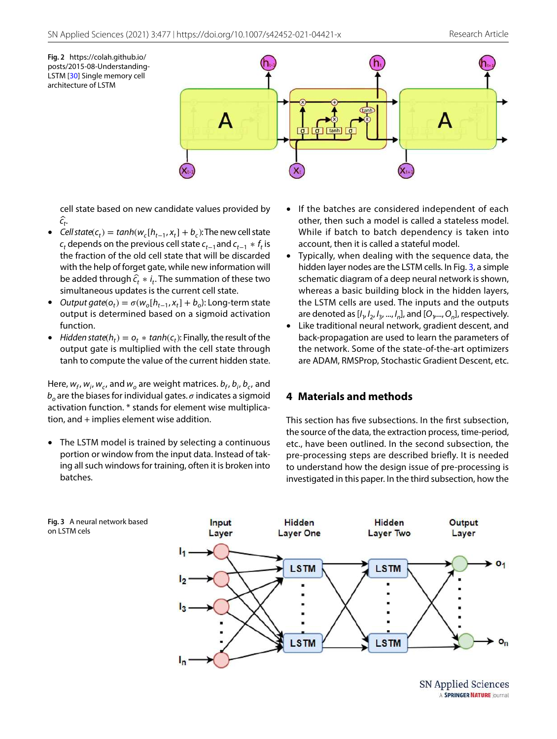<span id="page-4-1"></span>**Fig. 2** https://colah.github.io/ posts/2015-08-Understanding-LSTM [[30](#page-13-30)] Single memory cell architecture of LSTM



cell state based on new candidate values provided by c*̂*t .

- Cell state( $c_t$ ) = tanh( $w_c[h_{t-1}, x_t] + b_c$ ): The new cell state  $c_t$  depends on the previous cell state  $c_{t-1}$  and  $c_{t-1} * f_t$  is the fraction of the old cell state that will be discarded with the help of forget gate, while new information will be added through  $\hat{c}_t * i_t$ . The summation of these two simultaneous updates is the current cell state.
- Output gate( $o_t$ ) =  $\sigma(w_o[h_{t-1}, x_t] + b_o)$ : Long-term state output is determined based on a sigmoid activation function.
- Hidden state( $h_t$ ) =  $o_t * tanh(c_t)$ : Finally, the result of the output gate is multiplied with the cell state through tanh to compute the value of the current hidden state.

Here,  $w_f$ ,  $w_i$ ,  $w_c$ , and  $w_o$  are weight matrices.  $b_f$ ,  $b_i$ ,  $b_c$ , and  $b_o$  are the biases for individual gates.  $\sigma$  indicates a sigmoid activation function. \* stands for element wise multiplication, and + implies element wise addition.

• The LSTM model is trained by selecting a continuous portion or window from the input data. Instead of taking all such windows for training, often it is broken into batches.

on LSTM cels

- If the batches are considered independent of each other, then such a model is called a stateless model. While if batch to batch dependency is taken into account, then it is called a stateful model.
- Typically, when dealing with the sequence data, the hidden layer nodes are the LSTM cells. In Fig. [3](#page-4-2), a simple schematic diagram of a deep neural network is shown, whereas a basic building block in the hidden layers, the LSTM cells are used. The inputs and the outputs are denoted as  $[I_1, I_2, I_3, ..., I_n]$ , and  $[O_1, ..., O_n]$ , respectively.
- Like traditional neural network, gradient descent, and back-propagation are used to learn the parameters of the network. Some of the state-of-the-art optimizers are ADAM, RMSProp, Stochastic Gradient Descent, etc.

## <span id="page-4-0"></span>**4 Materials and methods**

This section has five subsections. In the first subsection, the source of the data, the extraction process, time-period, etc., have been outlined. In the second subsection, the pre-processing steps are described briefly. It is needed to understand how the design issue of pre-processing is investigated in this paper. In the third subsection, how the

<span id="page-4-2"></span>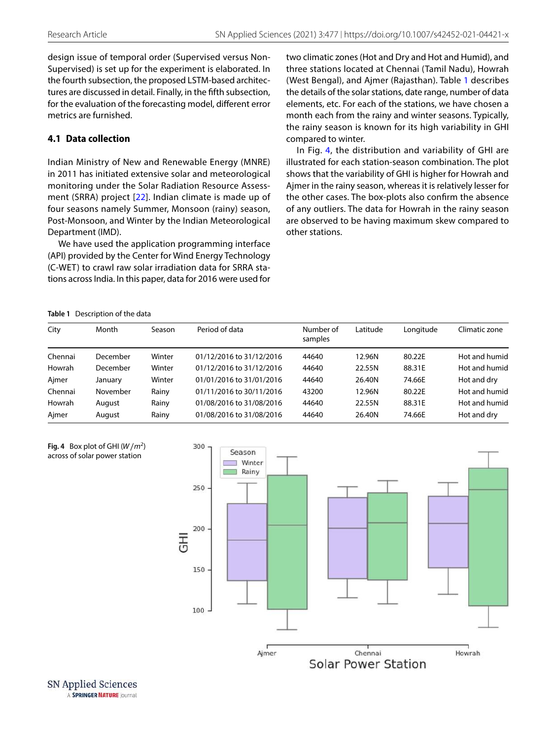design issue of temporal order (Supervised versus Non-Supervised) is set up for the experiment is elaborated. In the fourth subsection, the proposed LSTM-based architectures are discussed in detail. Finally, in the fifth subsection, for the evaluation of the forecasting model, different error metrics are furnished.

## **4.1 Data collection**

Indian Ministry of New and Renewable Energy (MNRE) in 2011 has initiated extensive solar and meteorological monitoring under the Solar Radiation Resource Assessment (SRRA) project [[22\]](#page-13-31). Indian climate is made up of four seasons namely Summer, Monsoon (rainy) season, Post-Monsoon, and Winter by the Indian Meteorological Department (IMD).

We have used the application programming interface (API) provided by the Center for Wind Energy Technology (C-WET) to crawl raw solar irradiation data for SRRA stations across India. In this paper, data for 2016 were used for two climatic zones (Hot and Dry and Hot and Humid), and three stations located at Chennai (Tamil Nadu), Howrah (West Bengal), and Ajmer (Rajasthan). Table [1](#page-5-0) describes the details of the solar stations, date range, number of data elements, etc. For each of the stations, we have chosen a month each from the rainy and winter seasons. Typically, the rainy season is known for its high variability in GHI compared to winter.

In Fig. [4](#page-5-1), the distribution and variability of GHI are illustrated for each station-season combination. The plot shows that the variability of GHI is higher for Howrah and Ajmer in the rainy season, whereas it is relatively lesser for the other cases. The box-plots also confirm the absence of any outliers. The data for Howrah in the rainy season are observed to be having maximum skew compared to other stations.

<span id="page-5-0"></span>**Table 1** Description of the data

| City    | Month    | Season | Period of data           | Number of<br>samples | Latitude | Longitude | Climatic zone |
|---------|----------|--------|--------------------------|----------------------|----------|-----------|---------------|
| Chennai | December | Winter | 01/12/2016 to 31/12/2016 | 44640                | 12.96N   | 80.22E    | Hot and humid |
| Howrah  | December | Winter | 01/12/2016 to 31/12/2016 | 44640                | 22.55N   | 88.31E    | Hot and humid |
| Ajmer   | January  | Winter | 01/01/2016 to 31/01/2016 | 44640                | 26.40N   | 74.66E    | Hot and dry   |
| Chennai | November | Rainy  | 01/11/2016 to 30/11/2016 | 43200                | 12.96N   | 80.22E    | Hot and humid |
| Howrah  | August   | Rainv  | 01/08/2016 to 31/08/2016 | 44640                | 22.55N   | 88.31E    | Hot and humid |
| Ajmer   | August   | Rainy  | 01/08/2016 to 31/08/2016 | 44640                | 26.40N   | 74.66E    | Hot and dry   |

<span id="page-5-1"></span>

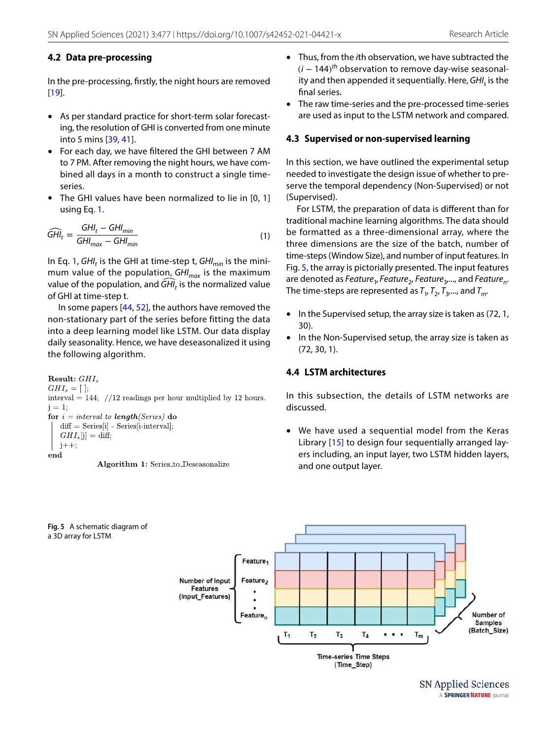#### **4.2 Data pre‑processing**

In the pre-processing, firstly, the night hours are removed [[19](#page-13-32)].

- As per standard practice for short-term solar forecasting, the resolution of GHI is converted from one minute into 5 mins [[39,](#page-14-12) [41](#page-14-16)].
- For each day, we have filtered the GHI between 7 AM to 7 PM. After removing the night hours, we have combined all days in a month to construct a single timeseries.
- The GHI values have been normalized to lie in [0, 1] using Eq. [1](#page-6-0).

$$
\widehat{GHI}_t = \frac{GHI_t - GHI_{min}}{GHI_{max} - GHI_{min}}
$$
\n(1)

In Eq. [1](#page-6-0),  $GH<sub>t</sub>$  is the GHI at time-step t,  $GH<sub>min</sub>$  is the minimum value of the population,  $GHI_{max}$  is the maximum value of the population, and  $\widehat{GH}_t$  is the normalized value of GHI at time-step t.

In some papers [\[44,](#page-14-8) [52\]](#page-14-6), the authors have removed the non-stationary part of the series before fitting the data into a deep learning model like LSTM. Our data display daily seasonality. Hence, we have deseasonalized it using the following algorithm.

```
Result: GHI.
GHI<sub>s</sub> = [];
interval = 144; //12 readings per hour multiplied by 12 hours.
i = 1:
for i = interval to length(Series) do
   diff = Series[i] - Series[i-interval];GHI<sub>s</sub>[j] = diff;j++;
end
               Algorithm 1: Series_to_Deseasonalize
```
<span id="page-6-1"></span>**Fig. 5** A schematic diagram of

a 3D array for LSTM

• Thus, from the ith observation, we have subtracted the  $(i - 144)$ <sup>th</sup> observation to remove day-wise seasonality and then appended it sequentially. Here,  $GHI<sub>s</sub>$  is the final series.

• The raw time-series and the pre-processed time-series are used as input to the LSTM network and compared.

#### **4.3 Supervised or non‑supervised learning**

In this section, we have outlined the experimental setup needed to investigate the design issue of whether to preserve the temporal dependency (Non-Supervised) or not (Supervised).

<span id="page-6-0"></span>For LSTM, the preparation of data is different than for traditional machine learning algorithms. The data should be formatted as a three-dimensional array, where the three dimensions are the size of the batch, number of time-steps (Window Size), and number of input features. In Fig. [5,](#page-6-1) the array is pictorially presented. The input features are denoted as Feature<sub>1</sub>, Feature<sub>2</sub>, Feature<sub>3</sub>, ..., and Feature<sub>n</sub>. The time-steps are represented as  $T_1$ ,  $T_2$ ,  $T_3$ ,..., and  $T_m$ .

- In the Supervised setup, the array size is taken as (72, 1, 30).
- In the Non-Supervised setup, the array size is taken as (72, 30, 1).

#### **4.4 LSTM architectures**

In this subsection, the details of LSTM networks are discussed.

• We have used a sequential model from the Keras Library [[15](#page-13-33)] to design four sequentially arranged layers including, an input layer, two LSTM hidden layers, and one output layer.

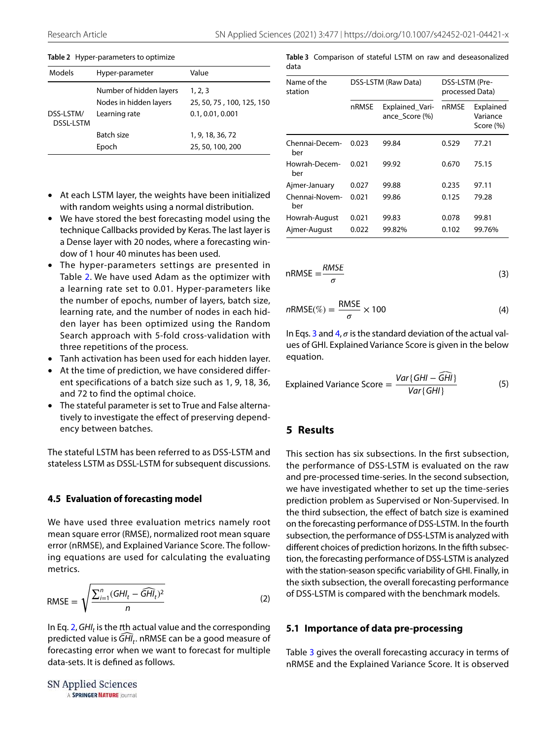| Models                        | Hyper-parameter         | Value                     |
|-------------------------------|-------------------------|---------------------------|
|                               | Number of hidden layers | 1, 2, 3                   |
|                               | Nodes in hidden layers  | 25, 50, 75, 100, 125, 150 |
| DSS-LSTM/<br><b>DSSL-LSTM</b> | Learning rate           | 0.1, 0.01, 0.001          |
|                               | Batch size              | 1, 9, 18, 36, 72          |
|                               | Epoch                   | 25, 50, 100, 200          |

#### <span id="page-7-1"></span>**Table 2** Hyper-parameters to optimize

- At each LSTM layer, the weights have been initialized with random weights using a normal distribution.
- We have stored the best forecasting model using the technique Callbacks provided by Keras. The last layer is a Dense layer with 20 nodes, where a forecasting window of 1 hour 40 minutes has been used.
- The hyper-parameters settings are presented in Table [2](#page-7-1). We have used Adam as the optimizer with a learning rate set to 0.01. Hyper-parameters like the number of epochs, number of layers, batch size, learning rate, and the number of nodes in each hidden layer has been optimized using the Random Search approach with 5-fold cross-validation with three repetitions of the process.
- Tanh activation has been used for each hidden layer.
- At the time of prediction, we have considered different specifications of a batch size such as 1, 9, 18, 36, and 72 to find the optimal choice.
- The stateful parameter is set to True and False alternatively to investigate the effect of preserving dependency between batches.

The stateful LSTM has been referred to as DSS-LSTM and stateless LSTM as DSSL-LSTM for subsequent discussions.

#### **4.5 Evaluation of forecasting model**

We have used three evaluation metrics namely root mean square error (RMSE), normalized root mean square error (nRMSE), and Explained Variance Score. The following equations are used for calculating the evaluating metrics.

$$
RMSE = \sqrt{\frac{\sum_{i=1}^{n} (GHI_t - \widehat{GHI_t})^2}{n}}
$$
 (2)

In Eq. [2,](#page-7-2)  $GHI_t$  is the tth actual value and the corresponding predicted value is  $\widehat{GH}_t$ . nRMSE can be a good measure of forecasting error when we want to forecast for multiple data-sets. It is defined as follows.

$$
\begin{matrix} \text{SN Applied Sciences} \\ \text{A SPRINGER NATUREJ \text{I} \text{O} \text{u} \text{m} \text{a} \end{matrix}
$$

<span id="page-7-5"></span>**Table 3** Comparison of stateful LSTM on raw and deseasonalized data

| Name of the<br>station |       | DSS-LSTM (Raw Data)               | DSS-LSTM (Pre-<br>processed Data) |                                    |
|------------------------|-------|-----------------------------------|-----------------------------------|------------------------------------|
|                        | nRMSE | Explained_Vari-<br>ance Score (%) | nRMSE                             | Explained<br>Variance<br>Score (%) |
| Chennai-Decem-<br>ber  | 0.023 | 99.84                             | 0.529                             | 77.21                              |
| Howrah-Decem-<br>ber   | 0.021 | 99.92                             | 0.670                             | 75.15                              |
| Ajmer-January          | 0.027 | 99.88                             | 0.235                             | 97.11                              |
| Chennai-Novem-<br>ber  | 0.021 | 99.86                             | 0.125                             | 79.28                              |
| Howrah-August          | 0.021 | 99.83                             | 0.078                             | 99.81                              |
| Aimer-August           | 0.022 | 99.82%                            | 0.102                             | 99.76%                             |

<span id="page-7-3"></span>
$$
nRMSE = \frac{RMSE}{\sigma}
$$
 (3)

<span id="page-7-4"></span>
$$
nRMSE(\%) = \frac{RMSE}{\sigma} \times 100
$$
 (4)

In Eqs. [3](#page-7-3) and  $4, \sigma$  $4, \sigma$  is the standard deviation of the actual values of GHI. Explained Variance Score is given in the below equation.

Explained Variance Score = 
$$
\frac{Var\{GHI - \widehat{GHI}\}}{Var\{GHI\}}
$$
 (5)

### <span id="page-7-0"></span>**5 Results**

This section has six subsections. In the first subsection, the performance of DSS-LSTM is evaluated on the raw and pre-processed time-series. In the second subsection, we have investigated whether to set up the time-series prediction problem as Supervised or Non-Supervised. In the third subsection, the effect of batch size is examined on the forecasting performance of DSS-LSTM. In the fourth subsection, the performance of DSS-LSTM is analyzed with different choices of prediction horizons. In the fifth subsection, the forecasting performance of DSS-LSTM is analyzed with the station-season specific variability of GHI. Finally, in the sixth subsection, the overall forecasting performance of DSS-LSTM is compared with the benchmark models.

#### <span id="page-7-2"></span>**5.1 Importance of data pre‑processing**

Table [3](#page-7-5) gives the overall forecasting accuracy in terms of nRMSE and the Explained Variance Score. It is observed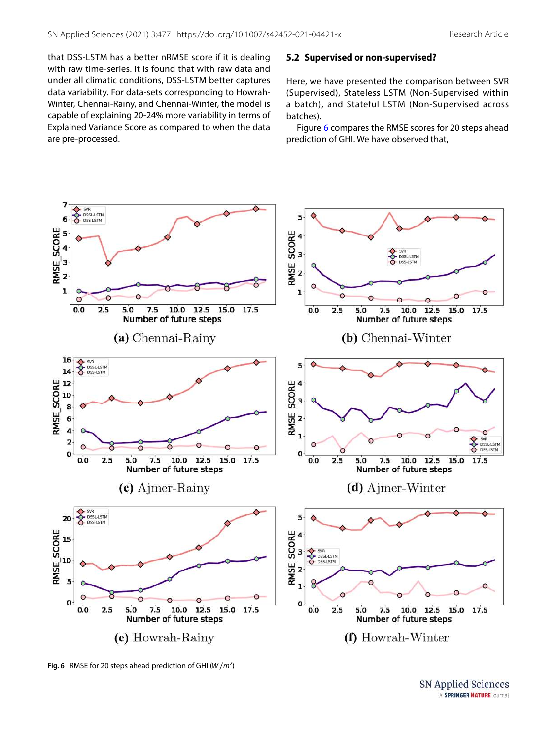that DSS-LSTM has a better nRMSE score if it is dealing with raw time-series. It is found that with raw data and under all climatic conditions, DSS-LSTM better captures data variability. For data-sets corresponding to Howrah-Winter, Chennai-Rainy, and Chennai-Winter, the model is capable of explaining 20-24% more variability in terms of Explained Variance Score as compared to when the data are pre-processed.

#### **5.2 Supervised or non‑supervised?**

Here, we have presented the comparison between SVR (Supervised), Stateless LSTM (Non-Supervised within a batch), and Stateful LSTM (Non-Supervised across batches).

Figure [6](#page-8-0) compares the RMSE scores for 20 steps ahead prediction of GHI. We have observed that,



<span id="page-8-0"></span>**Fig. 6** RMSE for 20 steps ahead prediction of GHI ( $W/m^2$ )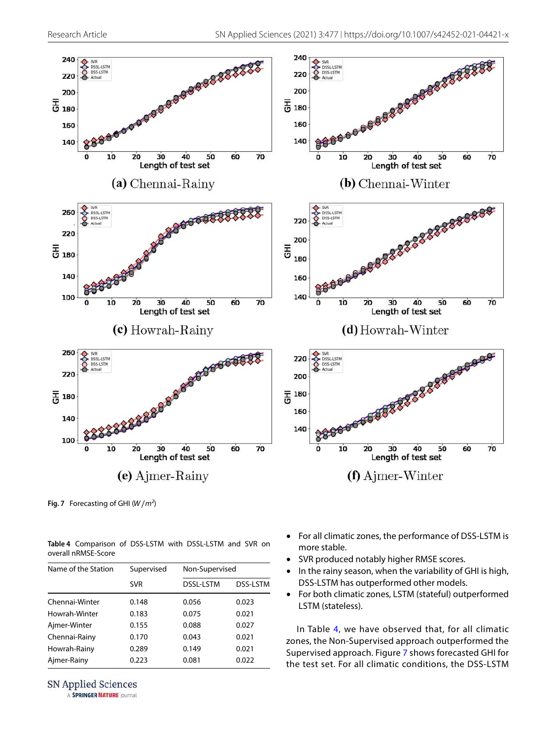

<span id="page-9-1"></span>Fig. 7 Forecasting of GHI  $(W/m^2)$ 

<span id="page-9-0"></span>**Table 4** Comparison of DSS-LSTM with DSSL-LSTM and SVR on overall nRMSE-Score

| Name of the Station | Supervised |                  | Non-Supervised  |  |  |
|---------------------|------------|------------------|-----------------|--|--|
|                     | <b>SVR</b> | <b>DSSL-LSTM</b> | <b>DSS-LSTM</b> |  |  |
| Chennai-Winter      | 0.148      | 0.056            | 0.023           |  |  |
| Howrah-Winter       | 0.183      | 0.075            | 0.021           |  |  |
| Ajmer-Winter        | 0.155      | 0.088            | 0.027           |  |  |
| Chennai-Rainy       | 0.170      | 0.043            | 0.021           |  |  |
| Howrah-Rainy        | 0.289      | 0.149            | 0.021           |  |  |
| Ajmer-Rainy         | 0.223      | 0.081            | 0.022           |  |  |

**SN Applied Sciences** 

A SPRINGER NATURE journal

- For all climatic zones, the performance of DSS-LSTM is more stable.
- SVR produced notably higher RMSE scores.
- In the rainy season, when the variability of GHI is high, DSS-LSTM has outperformed other models.
- For both climatic zones, LSTM (stateful) outperformed LSTM (stateless).

In Table [4](#page-9-0), we have observed that, for all climatic zones, the Non-Supervised approach outperformed the Supervised approach. Figure [7](#page-9-1) shows forecasted GHI for the test set. For all climatic conditions, the DSS-LSTM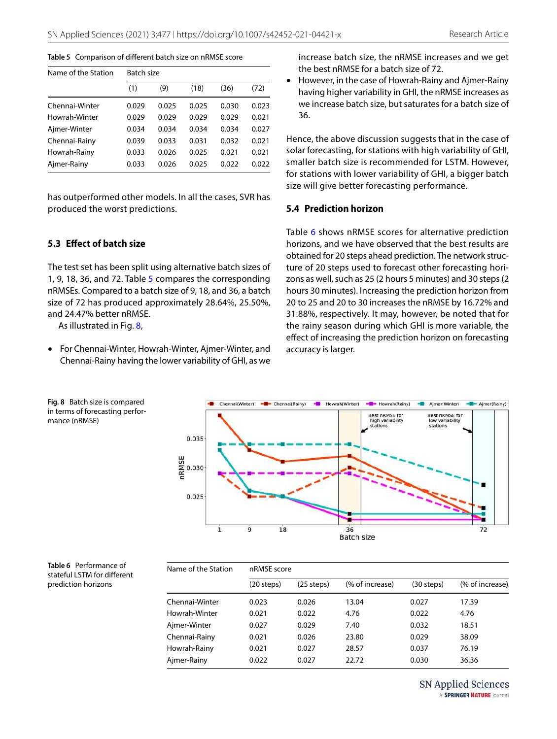#### <span id="page-10-0"></span>**Table 5** Comparison of different batch size on nRMSE score

| Name of the Station |       | Batch size |       |       |       |  |  |  |
|---------------------|-------|------------|-------|-------|-------|--|--|--|
|                     | (1)   | (9)        | (18)  | (36)  | (72)  |  |  |  |
| Chennai-Winter      | 0.029 | 0.025      | 0.025 | 0.030 | 0.023 |  |  |  |
| Howrah-Winter       | 0.029 | 0.029      | 0.029 | 0.029 | 0.021 |  |  |  |
| Ajmer-Winter        | 0.034 | 0.034      | 0.034 | 0.034 | 0.027 |  |  |  |
| Chennai-Rainy       | 0.039 | 0.033      | 0.031 | 0.032 | 0.021 |  |  |  |
| Howrah-Rainy        | 0.033 | 0.026      | 0.025 | 0.021 | 0.021 |  |  |  |
| Ajmer-Rainy         | 0.033 | 0.026      | 0.025 | 0.022 | 0.022 |  |  |  |

has outperformed other models. In all the cases, SVR has produced the worst predictions.

#### **5.3 Effect of batch size**

The test set has been split using alternative batch sizes of 1, 9, 18, 36, and 72. Table [5](#page-10-0) compares the corresponding nRMSEs. Compared to a batch size of 9, 18, and 36, a batch size of 72 has produced approximately 28.64%, 25.50%, and 24.47% better nRMSE.

As illustrated in Fig. [8,](#page-10-1)

<span id="page-10-1"></span>**Fig. 8** Batch size is compared in terms of forecasting perfor-

mance (nRMSE)

• For Chennai-Winter, Howrah-Winter, Ajmer-Winter, and Chennai-Rainy having the lower variability of GHI, as we increase batch size, the nRMSE increases and we get the best nRMSE for a batch size of 72.

• However, in the case of Howrah-Rainy and Ajmer-Rainy having higher variability in GHI, the nRMSE increases as we increase batch size, but saturates for a batch size of 36.

Hence, the above discussion suggests that in the case of solar forecasting, for stations with high variability of GHI, smaller batch size is recommended for LSTM. However, for stations with lower variability of GHI, a bigger batch size will give better forecasting performance.

#### **5.4 Prediction horizon**

Table [6](#page-10-2) shows nRMSE scores for alternative prediction horizons, and we have observed that the best results are obtained for 20 steps ahead prediction. The network structure of 20 steps used to forecast other forecasting horizons as well, such as 25 (2 hours 5 minutes) and 30 steps (2 hours 30 minutes). Increasing the prediction horizon from 20 to 25 and 20 to 30 increases the nRMSE by 16.72% and 31.88%, respectively. It may, however, be noted that for the rainy season during which GHI is more variable, the effect of increasing the prediction horizon on forecasting accuracy is larger.



<span id="page-10-2"></span>

| Table 6 Performance of      |
|-----------------------------|
| stateful LSTM for different |
| prediction horizons         |

| Name of the Station | nRMSE score |              |                 |              |                 |  |  |  |  |
|---------------------|-------------|--------------|-----------------|--------------|-----------------|--|--|--|--|
|                     | (20 steps)  | $(25$ steps) | (% of increase) | $(30$ steps) | (% of increase) |  |  |  |  |
| Chennai-Winter      | 0.023       | 0.026        | 13.04           | 0.027        | 17.39           |  |  |  |  |
| Howrah-Winter       | 0.021       | 0.022        | 4.76            | 0.022        | 4.76            |  |  |  |  |
| Ajmer-Winter        | 0.027       | 0.029        | 7.40            | 0.032        | 18.51           |  |  |  |  |
| Chennai-Rainy       | 0.021       | 0.026        | 23.80           | 0.029        | 38.09           |  |  |  |  |
| Howrah-Rainy        | 0.021       | 0.027        | 28.57           | 0.037        | 76.19           |  |  |  |  |
| Ajmer-Rainy         | 0.022       | 0.027        | 22.72           | 0.030        | 36.36           |  |  |  |  |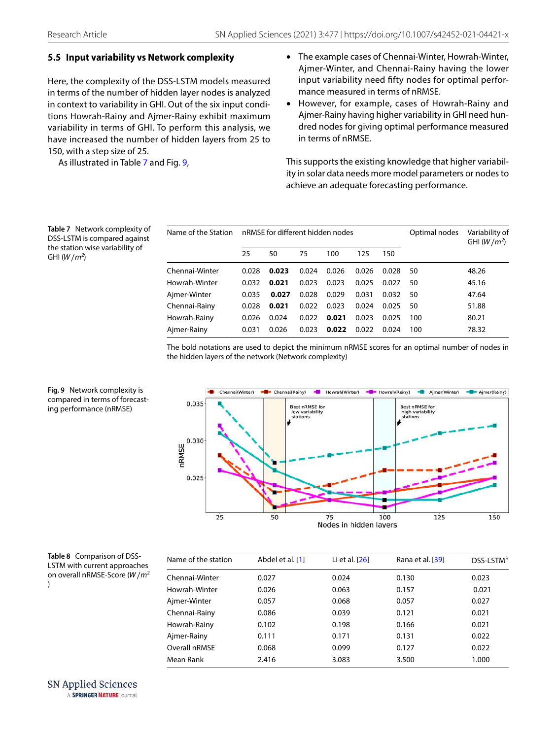## **5.5 Input variability vs Network complexity**

Here, the complexity of the DSS-LSTM models measured in terms of the number of hidden layer nodes is analyzed in context to variability in GHI. Out of the six input conditions Howrah-Rainy and Ajmer-Rainy exhibit maximum variability in terms of GHI. To perform this analysis, we have increased the number of hidden layers from 25 to 150, with a step size of 25.

As illustrated in Table [7](#page-11-0) and Fig. [9](#page-11-1),

- The example cases of Chennai-Winter, Howrah-Winter, Ajmer-Winter, and Chennai-Rainy having the lower input variability need fifty nodes for optimal performance measured in terms of nRMSE.
- However, for example, cases of Howrah-Rainy and Ajmer-Rainy having higher variability in GHI need hundred nodes for giving optimal performance measured in terms of nRMSE.

This supports the existing knowledge that higher variability in solar data needs more model parameters or nodes to achieve an adequate forecasting performance.

<span id="page-11-0"></span>**Table 7** Network complexity of DSS-LSTM is compared against the station wise variability of GHI  $(W/m^2)$ 

| Name of the Station<br>nRMSE for different hidden nodes |       |       |       | Optimal nodes | Variability of<br>GHI $(W/m^2)$ |       |     |       |
|---------------------------------------------------------|-------|-------|-------|---------------|---------------------------------|-------|-----|-------|
|                                                         | 25    | 50    | 75    | 100           | 125                             | 150   |     |       |
| Chennai-Winter                                          | 0.028 | 0.023 | 0.024 | 0.026         | 0.026                           | 0.028 | 50  | 48.26 |
| Howrah-Winter                                           | 0.032 | 0.021 | 0.023 | 0.023         | 0.025                           | 0.027 | 50  | 45.16 |
| Ajmer-Winter                                            | 0.035 | 0.027 | 0.028 | 0.029         | 0.031                           | 0.032 | 50  | 47.64 |
| Chennai-Rainy                                           | 0.028 | 0.021 | 0.022 | 0.023         | 0.024                           | 0.025 | 50  | 51.88 |
| Howrah-Rainy                                            | 0.026 | 0.024 | 0.022 | 0.021         | 0.023                           | 0.025 | 100 | 80.21 |
| Ajmer-Rainy                                             | 0.031 | 0.026 | 0.023 | 0.022         | 0.022                           | 0.024 | 100 | 78.32 |

The bold notations are used to depict the minimum nRMSE scores for an optimal number of nodes in the hidden layers of the network (Network complexity)



<span id="page-11-1"></span>**Fig. 9** Network complexity is compared in terms of forecasting performance (nRMSE)

<span id="page-11-2"></span>**Table 8** Comparison of DSS-LSTM with current approaches on overall nRMSE-Score ( $W/m^2$ )

| Name of the station | Abdel et al. [1] | Li et al. $[26]$ | Rana et al. [39] | DSS-LSTM <sup>*</sup> |
|---------------------|------------------|------------------|------------------|-----------------------|
| Chennai-Winter      | 0.027            | 0.024            | 0.130            | 0.023                 |
| Howrah-Winter       | 0.026            | 0.063            | 0.157            | 0.021                 |
| Ajmer-Winter        | 0.057            | 0.068            | 0.057            | 0.027                 |
| Chennai-Rainy       | 0.086            | 0.039            | 0.121            | 0.021                 |
| Howrah-Rainy        | 0.102            | 0.198            | 0.166            | 0.021                 |
| Ajmer-Rainy         | 0.111            | 0.171            | 0.131            | 0.022                 |
| Overall nRMSE       | 0.068            | 0.099            | 0.127            | 0.022                 |
| Mean Rank           | 2.416            | 3.083            | 3.500            | 1.000                 |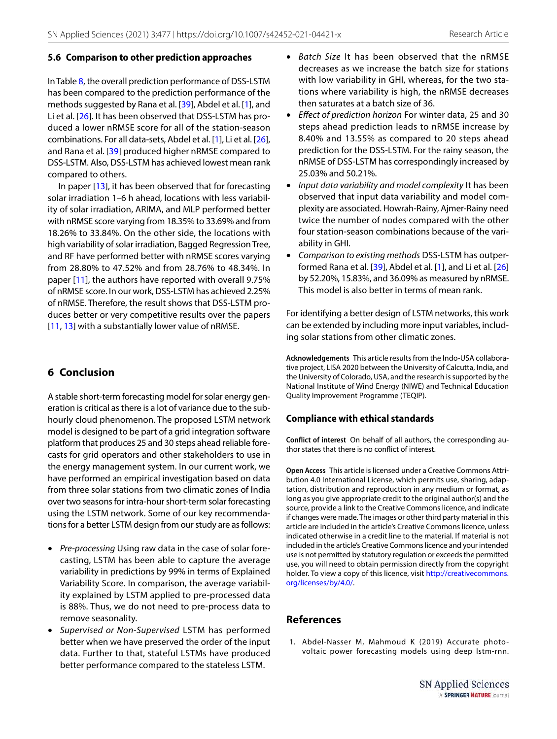#### **5.6 Comparison to other prediction approaches**

In Table [8](#page-11-2), the overall prediction performance of DSS-LSTM has been compared to the prediction performance of the methods suggested by Rana et al. [[39](#page-14-12)], Abdel et al. [\[1](#page-12-1)], and Li et al. [[26](#page-13-25)]. It has been observed that DSS-LSTM has produced a lower nRMSE score for all of the station-season combinations. For all data-sets, Abdel et al. [[1\]](#page-12-1), Li et al. [\[26](#page-13-25)], and Rana et al. [[39\]](#page-14-12) produced higher nRMSE compared to DSS-LSTM. Also, DSS-LSTM has achieved lowest mean rank compared to others.

In paper [\[13\]](#page-13-13), it has been observed that for forecasting solar irradiation 1–6 h ahead, locations with less variability of solar irradiation, ARIMA, and MLP performed better with nRMSE score varying from 18.35% to 33.69% and from 18.26% to 33.84%. On the other side, the locations with high variability of solar irradiation, Bagged Regression Tree, and RF have performed better with nRMSE scores varying from 28.80% to 47.52% and from 28.76% to 48.34%. In paper [[11](#page-13-16)], the authors have reported with overall 9.75% of nRMSE score. In our work, DSS-LSTM has achieved 2.25% of nRMSE. Therefore, the result shows that DSS-LSTM produces better or very competitive results over the papers [[11](#page-13-16), [13](#page-13-13)] with a substantially lower value of nRMSE.

## <span id="page-12-0"></span>**6 Conclusion**

A stable short-term forecasting model for solar energy generation is critical as there is a lot of variance due to the subhourly cloud phenomenon. The proposed LSTM network model is designed to be part of a grid integration software platform that produces 25 and 30 steps ahead reliable forecasts for grid operators and other stakeholders to use in the energy management system. In our current work, we have performed an empirical investigation based on data from three solar stations from two climatic zones of India over two seasons for intra-hour short-term solar forecasting using the LSTM network. Some of our key recommendations for a better LSTM design from our study are as follows:

- Pre-processing Using raw data in the case of solar forecasting, LSTM has been able to capture the average variability in predictions by 99% in terms of Explained Variability Score. In comparison, the average variability explained by LSTM applied to pre-processed data is 88%. Thus, we do not need to pre-process data to remove seasonality.
- Supervised or Non-Supervised LSTM has performed better when we have preserved the order of the input data. Further to that, stateful LSTMs have produced better performance compared to the stateless LSTM.
- Batch Size It has been observed that the nRMSE decreases as we increase the batch size for stations with low variability in GHI, whereas, for the two stations where variability is high, the nRMSE decreases then saturates at a batch size of 36.
- Effect of prediction horizon For winter data, 25 and 30 steps ahead prediction leads to nRMSE increase by 8.40% and 13.55% as compared to 20 steps ahead prediction for the DSS-LSTM. For the rainy season, the nRMSE of DSS-LSTM has correspondingly increased by 25.03% and 50.21%.
- Input data variability and model complexity It has been observed that input data variability and model complexity are associated. Howrah-Rainy, Ajmer-Rainy need twice the number of nodes compared with the other four station-season combinations because of the variability in GHI.
- Comparison to existing methods DSS-LSTM has outperformed Rana et al. [\[39](#page-14-12)], Abdel et al. [[1\]](#page-12-1), and Li et al. [\[26](#page-13-25)] by 52.20%, 15.83%, and 36.09% as measured by nRMSE. This model is also better in terms of mean rank.

For identifying a better design of LSTM networks, this work can be extended by including more input variables, including solar stations from other climatic zones.

**Acknowledgements** This article results from the Indo-USA collaborative project, LISA 2020 between the University of Calcutta, India, and the University of Colorado, USA, and the research is supported by the National Institute of Wind Energy (NIWE) and Technical Education Quality Improvement Programme (TEQIP).

## **Compliance with ethical standards**

**Conflict of interest** On behalf of all authors, the corresponding author states that there is no conflict of interest.

**Open Access** This article is licensed under a Creative Commons Attribution 4.0 International License, which permits use, sharing, adaptation, distribution and reproduction in any medium or format, as long as you give appropriate credit to the original author(s) and the source, provide a link to the Creative Commons licence, and indicate if changes were made. The images or other third party material in this article are included in the article's Creative Commons licence, unless indicated otherwise in a credit line to the material. If material is not included in the article's Creative Commons licence and your intended use is not permitted by statutory regulation or exceeds the permitted use, you will need to obtain permission directly from the copyright holder. To view a copy of this licence, visit http://creativecommons. org/licenses/by/4.0/.

## **References**

<span id="page-12-1"></span> 1. Abdel-Nasser M, Mahmoud K (2019) Accurate photovoltaic power forecasting models using deep lstm-rnn.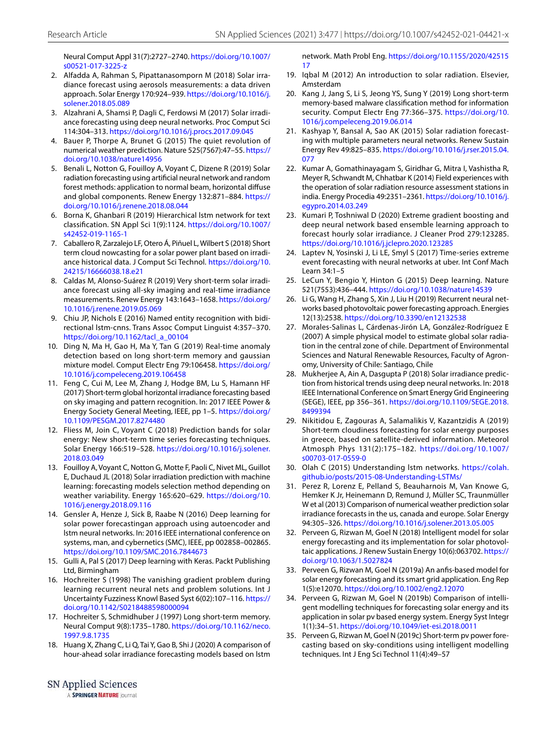Neural Comput Appl 31(7):2727–2740. [https:// doi. org/ 10. 1007/](https://doi.org/10.1007/s00521-017-3225-z) s00521-017-3225-z

- <span id="page-13-17"></span> 2. Alfadda A, Rahman S, Pipattanasomporn M (2018) Solar irradiance forecast using aerosols measurements: a data driven approach. Solar Energy 170:924-939. https://doi.org/10.1016/j. solener. 2018. 05.089
- <span id="page-13-5"></span> 3. Alzahrani A, Shamsi P, Dagli C, Ferdowsi M (2017) Solar irradiance forecasting using deep neural networks. Proc Comput Sci 114:304–313. [https:// doi. org/ 10. 1016/j. procs. 2017. 09. 045](https://doi.org/10.1016/j.procs.2017.09.045)
- <span id="page-13-4"></span> 4. Bauer P, Thorpe A, Brunet G (2015) The quiet revolution of numerical weather prediction. Nature 525(7567):47–55. [https://](https://doi.org/10.1038/nature14956) doi.org/10.1038/nature14956
- <span id="page-13-19"></span> 5. Benali L, Notton G, Fouilloy A, Voyant C, Dizene R (2019) Solar radiation forecasting using artificial neural network and random forest methods: application to normal beam, horizontal diffuse and global components. Renew Energy 132:871–884. [https://](https://doi.org/10.1016/j.renene.2018.08.044) [doi. org/ 10. 1016/j. renene. 2018. 08. 044](https://doi.org/10.1016/j.renene.2018.08.044)
- <span id="page-13-10"></span> 6. Borna K, Ghanbari R (2019) Hierarchical lstm network for text classification. SN Appl Sci 1(9):1124. https://doi.org/10.1007/ s42452-019-1165-1
- <span id="page-13-21"></span> 7. Caballero R, Zarzalejo LF, Otero Á, Piñuel L, Wilbert S (2018) Short term cloud nowcasting for a solar power plant based on irradiance historical data. J Comput Sci Technol. https://doi.org/10. 24215/16666038.18.e21
- <span id="page-13-23"></span> 8. Caldas M, Alonso-Suárez R (2019) Very short-term solar irradiance forecast using all-sky imaging and real-time irradiance measurements. Renew Energy 143:1643-1658. https://doi.org/ [10. 1016/j. renene. 2019. 05. 069](https://doi.org/10.1016/j.renene.2019.05.069)
- <span id="page-13-8"></span> 9. Chiu JP, Nichols E (2016) Named entity recognition with bidirectional lstm-cnns. Trans Assoc Comput Linguist 4:357–370. https://doi.org/10.1162/tacl\_a\_00104
- <span id="page-13-9"></span> 10. Ding N, Ma H, Gao H, Ma Y, Tan G (2019) Real-time anomaly detection based on long short-term memory and gaussian mixture model. Comput Electr Eng 79:106458. https://doi.org/ [10. 1016/j. compe leceng. 2019. 106458](https://doi.org/10.1016/j.compeleceng.2019.106458)
- <span id="page-13-16"></span> 11. Feng C, Cui M, Lee M, Zhang J, Hodge BM, Lu S, Hamann HF (2017) Short-term global horizontal irradiance forecasting based on sky imaging and pattern recognition. In: 2017 IEEE Power & Energy Society General Meeting, IEEE, pp 1-5. https://doi.org/ 10.1109/PESGM.2017.8274480
- <span id="page-13-1"></span> 12. Fliess M, Join C, Voyant C (2018) Prediction bands for solar energy: New short-term time series forecasting techniques. Solar Energy 166:519–528. [https:// doi. org/ 10. 1016/j. solen er.](https://doi.org/10.1016/j.solener.2018.03.049) 2018.03.049
- <span id="page-13-13"></span> 13. Fouilloy A, Voyant C, Notton G, Motte F, Paoli C, Nivet ML, Guillot E, Duchaud JL (2018) Solar irradiation prediction with machine learning: forecasting models selection method depending on weather variability. Energy 165:620-629. https://doi.org/10. [1016/j. energy. 2018. 09. 116](https://doi.org/10.1016/j.energy.2018.09.116)
- <span id="page-13-12"></span> 14. Gensler A, Henze J, Sick B, Raabe N (2016) Deep learning for solar power forecastingan approach using autoencoder and lstm neural networks. In: 2016 IEEE international conference on systems, man, and cybernetics (SMC), IEEE, pp 002858–002865. https://doi.org/10.1109/SMC.2016.7844673
- <span id="page-13-33"></span> 15. Gulli A, Pal S (2017) Deep learning with Keras. Packt Publishing Ltd, Birmingham
- <span id="page-13-28"></span> 16. Hochreiter S (1998) The vanishing gradient problem during learning recurrent neural nets and problem solutions. Int J Uncertainty Fuzziness Knowl Based Syst 6(02):107–116. [https://](https://doi.org/10.1142/S0218488598000094) doi.org/10.1142/S0218488598000094
- <span id="page-13-29"></span> 17. Hochreiter S, Schmidhuber J (1997) Long short-term memory. Neural Comput 9(8):1735–1780. [https:// doi. org/ 10. 1162/ neco.](https://doi.org/10.1162/neco.1997.9.8.1735) 1997. 9. 8. 1735
- <span id="page-13-26"></span> 18. Huang X, Zhang C, Li Q, Tai Y, Gao B, Shi J (2020) A comparison of hour-ahead solar irradiance forecasting models based on lstm

network. Math Probl Eng. https://doi.org/10.1155/2020/42515 [17](https://doi.org/10.1155/2020/4251517)

- <span id="page-13-32"></span> 19. Iqbal M (2012) An introduction to solar radiation. Elsevier, Amsterdam
- <span id="page-13-11"></span> 20. Kang J, Jang S, Li S, Jeong YS, Sung Y (2019) Long short-term memory-based malware classification method for information security. Comput Electr Eng 77:366-375. https://doi.org/10. [1016/j. compe leceng. 2019. 06. 014](https://doi.org/10.1016/j.compeleceng.2019.06.014)
- <span id="page-13-15"></span> 21. Kashyap Y, Bansal A, Sao AK (2015) Solar radiation forecasting with multiple parameters neural networks. Renew Sustain Energy Rev 49:825–835. [https:// doi. org/ 10. 1016/j. rser. 2015. 04.](https://doi.org/10.1016/j.rser.2015.04.077) [077](https://doi.org/10.1016/j.rser.2015.04.077)
- <span id="page-13-31"></span> 22. Kumar A, Gomathinayagam S, Giridhar G, Mitra I, Vashistha R, Meyer R, Schwandt M, Chhatbar K (2014) Field experiences with the operation of solar radiation resource assessment stations in india. Energy Procedia 49:2351-2361. https://doi.org/10.1016/j. [egypro. 2014. 03. 249](https://doi.org/10.1016/j.egypro.2014.03.249)
- <span id="page-13-27"></span> 23. Kumari P, Toshniwal D (2020) Extreme gradient boosting and deep neural network based ensemble learning approach to forecast hourly solar irradiance. J Cleaner Prod 279:123285. https://doi.org/10.1016/j.jclepro.2020.123285
- <span id="page-13-7"></span> 24. Laptev N, Yosinski J, Li LE, Smyl S (2017) Time-series extreme event forecasting with neural networks at uber. Int Conf Mach Learn 34:1–5
- <span id="page-13-6"></span> 25. LeCun Y, Bengio Y, Hinton G (2015) Deep learning. Nature 521(7553):436-444. https://doi.org/10.1038/nature14539
- <span id="page-13-25"></span> 26. Li G, Wang H, Zhang S, Xin J, Liu H (2019) Recurrent neural networks based photovoltaic power forecasting approach. Energies 12(13):2538. https://doi.org/10.3390/en12132538
- <span id="page-13-14"></span> 27. Morales-Salinas L, Cárdenas-Jirón LA, González-Rodríguez E (2007) A simple physical model to estimate global solar radiation in the central zone of chile. Department of Environmental Sciences and Natural Renewable Resources, Faculty of Agronomy, University of Chile: Santiago, Chile
- <span id="page-13-22"></span> 28. Mukherjee A, Ain A, Dasgupta P (2018) Solar irradiance prediction from historical trends using deep neural networks. In: 2018 IEEE International Conference on Smart Energy Grid Engineering (SEGE), IEEE, pp 356-361. https://doi.org/10.1109/SEGE.2018. 8499394
- <span id="page-13-24"></span> 29. Nikitidou E, Zagouras A, Salamalikis V, Kazantzidis A (2019) Short-term cloudiness forecasting for solar energy purposes in greece, based on satellite-derived information. Meteorol Atmosph Phys 131(2):175–182. [https:// doi. org/ 10. 1007/](https://doi.org/10.1007/s00703-017-0559-0) s00703-017-0559-0
- <span id="page-13-30"></span>30. Olah C (2015) Understanding Istm networks. https://colah. github.io/posts/2015-08-Understanding-LSTMs/
- <span id="page-13-2"></span> 31. Perez R, Lorenz E, Pelland S, Beauharnois M, Van Knowe G, Hemker K Jr, Heinemann D, Remund J, Müller SC, Traunmüller W et al (2013) Comparison of numerical weather prediction solar irradiance forecasts in the us, canada and europe. Solar Energy 94:305-326. https://doi.org/10.1016/j.solener.2013.05.005
- <span id="page-13-0"></span> 32. Perveen G, Rizwan M, Goel N (2018) Intelligent model for solar energy forecasting and its implementation for solar photovoltaic applications. J Renew Sustain Energy 10(6):063702. [https://](https://doi.org/10.1063/1.5027824) doi.org/10.1063/1.5027824
- <span id="page-13-3"></span> 33. Perveen G, Rizwan M, Goel N (2019a) An anfis-based model for solar energy forecasting and its smart grid application. Eng Rep 1(5):e12070. [https:// doi. org/ 10. 1002/ eng2. 12070](https://doi.org/10.1002/eng2.12070)
- <span id="page-13-20"></span> 34. Perveen G, Rizwan M, Goel N (2019b) Comparison of intelligent modelling techniques for forecasting solar energy and its application in solar pv based energy system. Energy Syst Integr 1(1):34–51. [https:// doi. org/ 10. 1049/ iet- esi. 2018. 0011](https://doi.org/10.1049/iet-esi.2018.0011)
- <span id="page-13-18"></span> 35. Perveen G, Rizwan M, Goel N (2019c) Short-term pv power forecasting based on sky-conditions using intelligent modelling techniques. Int J Eng Sci Technol 11(4):49–57

SN Applied Sciences

A SPRINGER NATURE journal